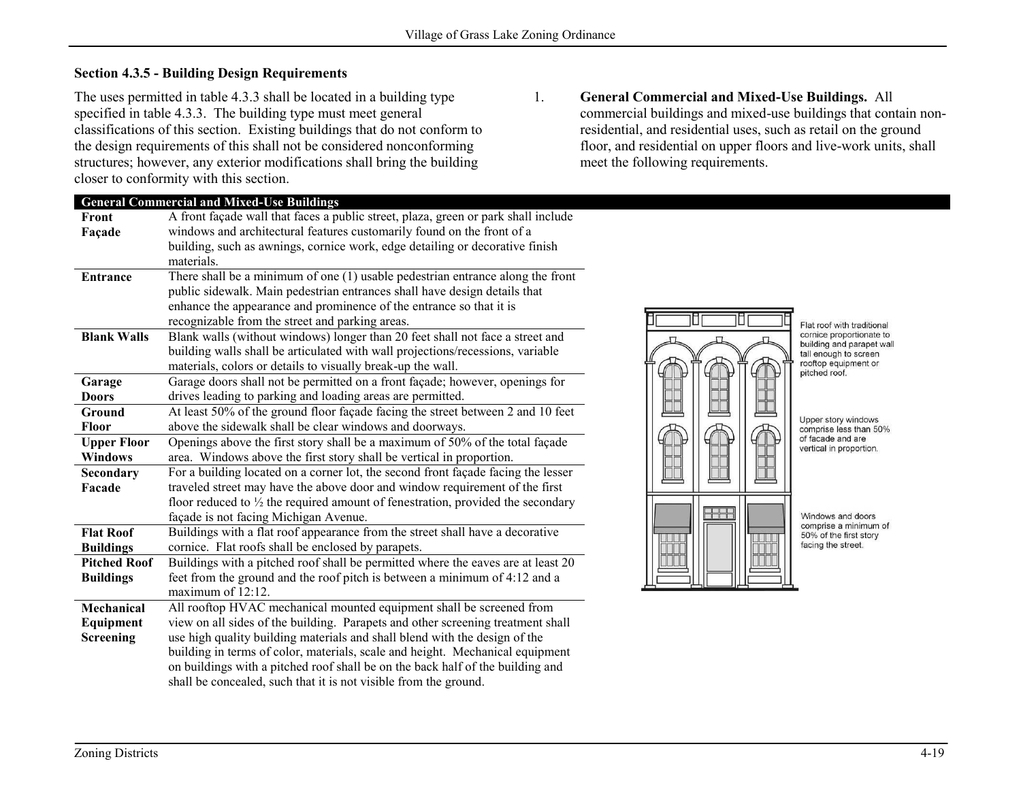## **Section 4.3.5 - Building Design Requirements**

The uses permitted in table 4.3.3 shall be located in a building type specified in table 4.3.3. The building type must meet general classifications of this section. Existing buildings that do not conform to the design requirements of this shall not be considered nonconforming structures; however, any exterior modifications shall bring the building closer to conformity with this section.

1. **General Commercial and Mixed-Use Buildings.** All commercial buildings and mixed-use buildings that contain nonresidential, and residential uses, such as retail on the ground floor, and residential on upper floors and live-work units, shall meet the following requirements.

|                     | <b>General Commercial and Mixed-Use Buildings</b>                                          |  |  |
|---------------------|--------------------------------------------------------------------------------------------|--|--|
| Front               | A front façade wall that faces a public street, plaza, green or park shall include         |  |  |
| Façade              | windows and architectural features customarily found on the front of a                     |  |  |
|                     | building, such as awnings, cornice work, edge detailing or decorative finish               |  |  |
|                     | materials.                                                                                 |  |  |
| <b>Entrance</b>     | There shall be a minimum of one $(1)$ usable pedestrian entrance along the front           |  |  |
|                     | public sidewalk. Main pedestrian entrances shall have design details that                  |  |  |
|                     | enhance the appearance and prominence of the entrance so that it is                        |  |  |
|                     | recognizable from the street and parking areas.                                            |  |  |
| <b>Blank Walls</b>  | Blank walls (without windows) longer than 20 feet shall not face a street and              |  |  |
|                     | building walls shall be articulated with wall projections/recessions, variable             |  |  |
|                     | materials, colors or details to visually break-up the wall.                                |  |  |
| Garage              | Garage doors shall not be permitted on a front façade; however, openings for               |  |  |
| <b>Doors</b>        | drives leading to parking and loading areas are permitted.                                 |  |  |
| Ground              | At least 50% of the ground floor façade facing the street between 2 and 10 feet            |  |  |
| <b>Floor</b>        | above the sidewalk shall be clear windows and doorways.                                    |  |  |
| <b>Upper Floor</b>  | Openings above the first story shall be a maximum of 50% of the total façade               |  |  |
| <b>Windows</b>      | area. Windows above the first story shall be vertical in proportion.                       |  |  |
| Secondary           | For a building located on a corner lot, the second front façade facing the lesser          |  |  |
| Facade              | traveled street may have the above door and window requirement of the first                |  |  |
|                     | floor reduced to $\frac{1}{2}$ the required amount of fenestration, provided the secondary |  |  |
|                     | façade is not facing Michigan Avenue.                                                      |  |  |
| <b>Flat Roof</b>    | Buildings with a flat roof appearance from the street shall have a decorative              |  |  |
| <b>Buildings</b>    | cornice. Flat roofs shall be enclosed by parapets.                                         |  |  |
| <b>Pitched Roof</b> | Buildings with a pitched roof shall be permitted where the eaves are at least 20           |  |  |
| <b>Buildings</b>    | feet from the ground and the roof pitch is between a minimum of 4:12 and a                 |  |  |
|                     | maximum of $12:12$ .                                                                       |  |  |
| Mechanical          | All rooftop HVAC mechanical mounted equipment shall be screened from                       |  |  |
| Equipment           | view on all sides of the building. Parapets and other screening treatment shall            |  |  |
| Screening           | use high quality building materials and shall blend with the design of the                 |  |  |
|                     | building in terms of color, materials, scale and height. Mechanical equipment              |  |  |
|                     | on buildings with a pitched roof shall be on the back half of the building and             |  |  |
|                     | shall be concealed, such that it is not visible from the ground.                           |  |  |



Flat roof with traditional cornice proportionate to building and parapet wall tall enough to screen rooftop equipment or pitched roof.

Upper story windows comprise less than 50% of facade and are vertical in proportion.

Windows and doors comprise a minimum of 50% of the first story facing the street.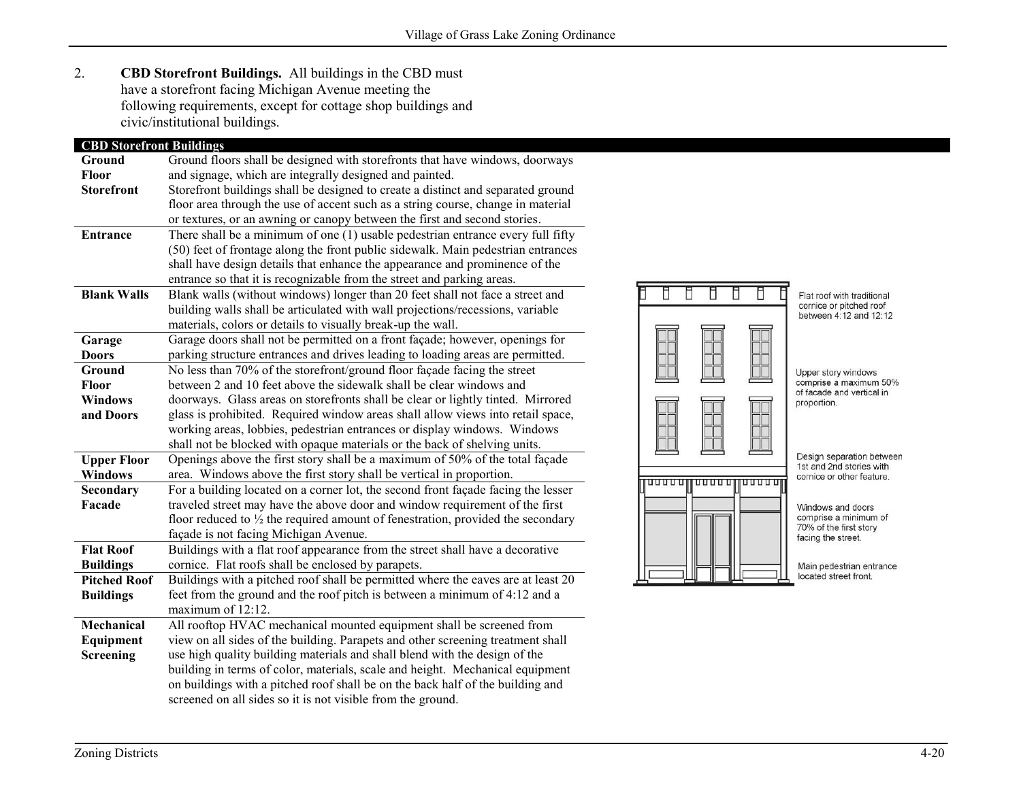2. **CBD Storefront Buildings.** All buildings in the CBD must have a storefront facing Michigan Avenue meeting the following requirements, except for cottage shop buildings and civic/institutional buildings.

| <b>CBD Storefront Buildings</b> |                                                                                            |  |  |
|---------------------------------|--------------------------------------------------------------------------------------------|--|--|
| Ground                          | Ground floors shall be designed with storefronts that have windows, doorways               |  |  |
| <b>Floor</b>                    | and signage, which are integrally designed and painted.                                    |  |  |
| <b>Storefront</b>               | Storefront buildings shall be designed to create a distinct and separated ground           |  |  |
|                                 | floor area through the use of accent such as a string course, change in material           |  |  |
|                                 | or textures, or an awning or canopy between the first and second stories.                  |  |  |
| <b>Entrance</b>                 | There shall be a minimum of one (1) usable pedestrian entrance every full fifty            |  |  |
|                                 | (50) feet of frontage along the front public sidewalk. Main pedestrian entrances           |  |  |
|                                 | shall have design details that enhance the appearance and prominence of the                |  |  |
|                                 | entrance so that it is recognizable from the street and parking areas.                     |  |  |
| <b>Blank Walls</b>              | Blank walls (without windows) longer than 20 feet shall not face a street and              |  |  |
|                                 | building walls shall be articulated with wall projections/recessions, variable             |  |  |
|                                 | materials, colors or details to visually break-up the wall.                                |  |  |
| Garage                          | Garage doors shall not be permitted on a front façade; however, openings for               |  |  |
| <b>Doors</b>                    | parking structure entrances and drives leading to loading areas are permitted.             |  |  |
| Ground                          | No less than 70% of the storefront/ground floor façade facing the street                   |  |  |
| <b>Floor</b>                    | between 2 and 10 feet above the sidewalk shall be clear windows and                        |  |  |
| <b>Windows</b>                  | doorways. Glass areas on storefronts shall be clear or lightly tinted. Mirrored            |  |  |
| and Doors                       | glass is prohibited. Required window areas shall allow views into retail space,            |  |  |
|                                 | working areas, lobbies, pedestrian entrances or display windows. Windows                   |  |  |
|                                 | shall not be blocked with opaque materials or the back of shelving units.                  |  |  |
| <b>Upper Floor</b>              | Openings above the first story shall be a maximum of 50% of the total façade               |  |  |
| <b>Windows</b>                  | area. Windows above the first story shall be vertical in proportion.                       |  |  |
| Secondary                       | For a building located on a corner lot, the second front façade facing the lesser          |  |  |
| Facade                          | traveled street may have the above door and window requirement of the first                |  |  |
|                                 | floor reduced to $\frac{1}{2}$ the required amount of fenestration, provided the secondary |  |  |
|                                 | façade is not facing Michigan Avenue.                                                      |  |  |
| <b>Flat Roof</b>                | Buildings with a flat roof appearance from the street shall have a decorative              |  |  |
| <b>Buildings</b>                | cornice. Flat roofs shall be enclosed by parapets.                                         |  |  |
| <b>Pitched Roof</b>             | Buildings with a pitched roof shall be permitted where the eaves are at least 20           |  |  |
| <b>Buildings</b>                | feet from the ground and the roof pitch is between a minimum of 4:12 and a                 |  |  |
|                                 | maximum of 12:12.                                                                          |  |  |
| Mechanical                      | All rooftop HVAC mechanical mounted equipment shall be screened from                       |  |  |
| Equipment                       | view on all sides of the building. Parapets and other screening treatment shall            |  |  |
| <b>Screening</b>                | use high quality building materials and shall blend with the design of the                 |  |  |
|                                 | building in terms of color, materials, scale and height. Mechanical equipment              |  |  |
|                                 | on buildings with a pitched roof shall be on the back half of the building and             |  |  |
|                                 | screened on all sides so it is not visible from the ground.                                |  |  |



Flat roof with traditional<br>cornice or pitched roof<br>between 4:12 and 12:12

Upper story windows comprise a maximum 50% of facade and vertical in proportion.

Design separation between 1st and 2nd stories with cornice or other feature.

Windows and doors comprise a minimum of 70% of the first story facing the street.

Main pedestrian entrance located street front.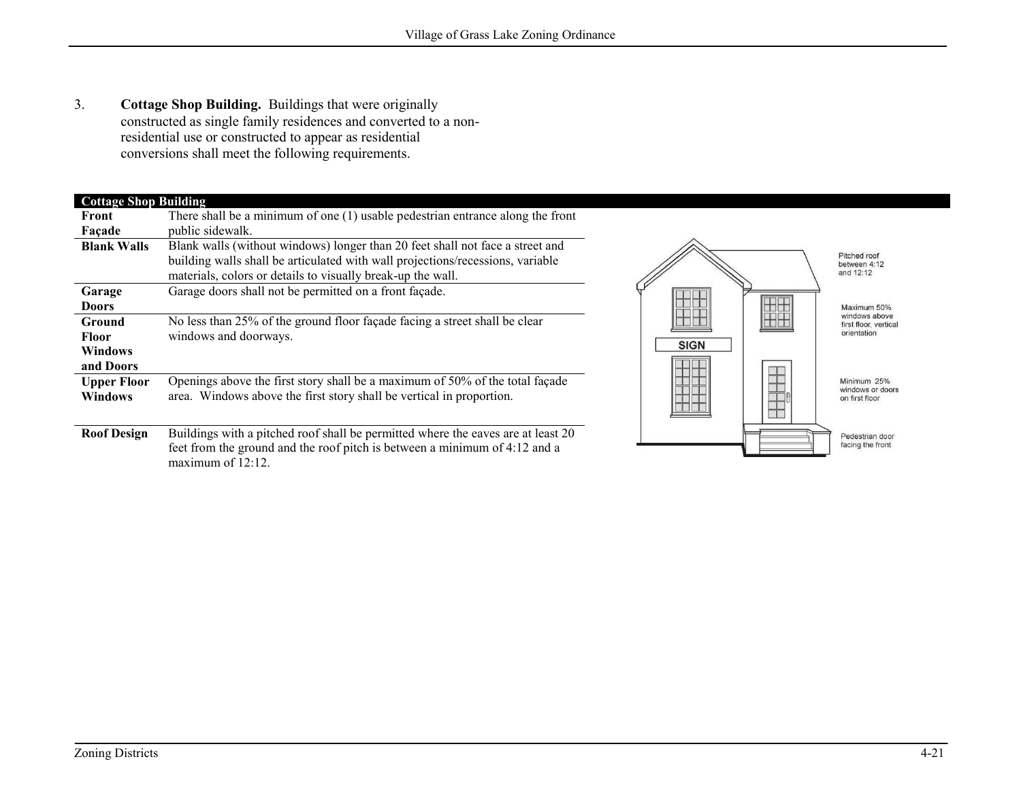3. **Cottage Shop Building.** Buildings that were originally constructed as single family residences and converted to a nonresidential use or constructed to appear as residential conversions shall meet the following requirements.

## **Cottage Shop Building<br>Front** There shall be a minin **Front**

| Front              | There shall be a minimum of one (1) usable pedestrian entrance along the front   |  |  |
|--------------------|----------------------------------------------------------------------------------|--|--|
| Façade             | public sidewalk.                                                                 |  |  |
| <b>Blank Walls</b> | Blank walls (without windows) longer than 20 feet shall not face a street and    |  |  |
|                    | building walls shall be articulated with wall projections/recessions, variable   |  |  |
|                    | materials, colors or details to visually break-up the wall.                      |  |  |
| Garage             | Garage doors shall not be permitted on a front façade.                           |  |  |
| <b>Doors</b>       |                                                                                  |  |  |
| Ground             | No less than 25% of the ground floor façade facing a street shall be clear       |  |  |
| <b>Floor</b>       | windows and doorways.                                                            |  |  |
| Windows            |                                                                                  |  |  |
| and Doors          |                                                                                  |  |  |
| <b>Upper Floor</b> | Openings above the first story shall be a maximum of 50% of the total façade     |  |  |
| <b>Windows</b>     | area. Windows above the first story shall be vertical in proportion.             |  |  |
|                    |                                                                                  |  |  |
| <b>Roof Design</b> | Buildings with a pitched roof shall be permitted where the eaves are at least 20 |  |  |
|                    | feet from the ground and the roof pitch is between a minimum of 4:12 and a       |  |  |
|                    | maximum of $12:12$ .                                                             |  |  |

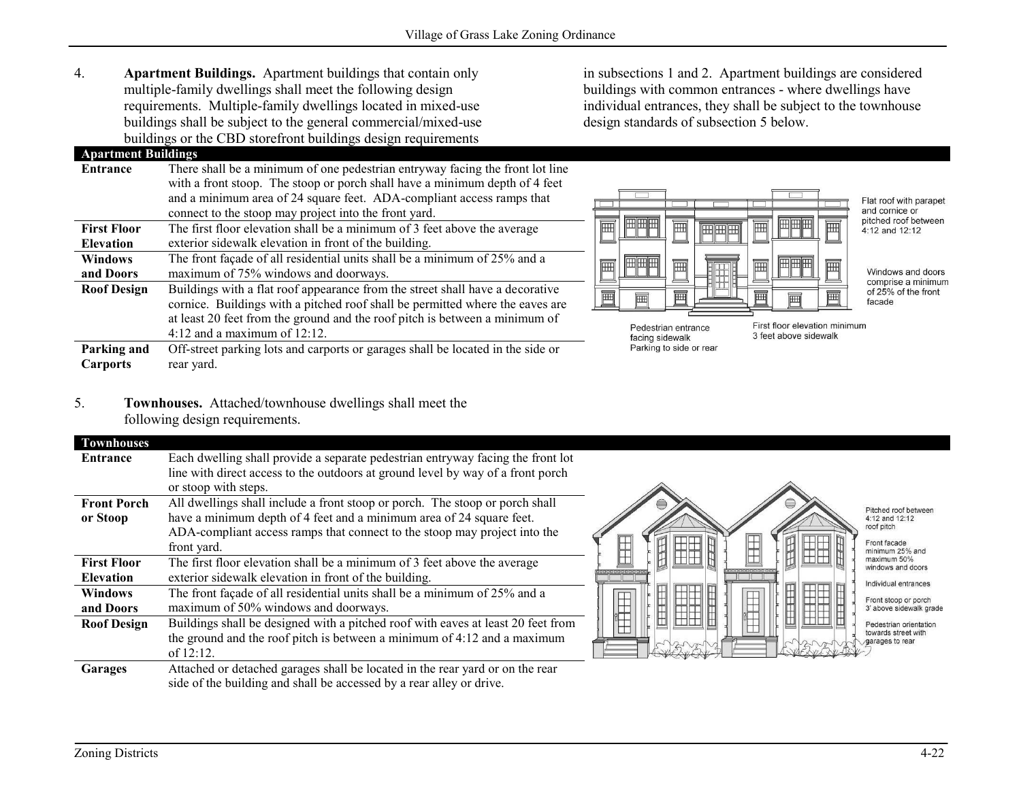4. **Apartment Buildings.** Apartment buildings that contain only multiple-family dwellings shall meet the following design requirements. Multiple-family dwellings located in mixed-use buildings shall be subject to the general commercial/mixed-use buildings or the CBD storefront buildings design requirements

**Apartment Buildings Entrance** There shall be a minimum of one pedestrian entryway facing the front lot line with a front stoop. The stoop or porch shall have a minimum depth of 4 feet and a minimum area of 24 square feet. ADA-compliant access ramps that connect to the stoop may project into the front yard. **First Floor Elevation** The first floor elevation shall be a minimum of 3 feet above the average exterior sidewalk elevation in front of the building. **Windows and Doors** The front façade of all residential units shall be a minimum of 25% and a maximum of 75% windows and doorways. **Roof Design** Buildings with a flat roof appearance from the street shall have a decorative cornice. Buildings with a pitched roof shall be permitted where the eaves are at least 20 feet from the ground and the roof pitch is between a minimum of 4:12 and a maximum of 12:12. **Parking and Carports** Off-street parking lots and carports or garages shall be located in the side or rear yard.

in subsections 1 and 2. Apartment buildings are considered buildings with common entrances - where dwellings have individual entrances, they shall be subject to the townhouse design standards of subsection 5 below.



Flat roof with parapet and cornice or pitched roof between 4:12 and 12:12

Windows and doors comprise a minimum of 25% of the front facade

Pedestrian entrance facing sidewalk Parking to side or rear First floor elevation minimum 3 feet above sidewalk

5. **Townhouses.** Attached/townhouse dwellings shall meet the following design requirements.

| <b>Townhouses</b>  |                                                                                  |  |  |
|--------------------|----------------------------------------------------------------------------------|--|--|
| Entrance           | Each dwelling shall provide a separate pedestrian entryway facing the front lot  |  |  |
|                    | line with direct access to the outdoors at ground level by way of a front porch  |  |  |
|                    | or stoop with steps.                                                             |  |  |
| <b>Front Porch</b> | All dwellings shall include a front stoop or porch. The stoop or porch shall     |  |  |
| or Stoop           | have a minimum depth of 4 feet and a minimum area of 24 square feet.             |  |  |
|                    | ADA-compliant access ramps that connect to the stoop may project into the        |  |  |
|                    | front yard.                                                                      |  |  |
| <b>First Floor</b> | The first floor elevation shall be a minimum of 3 feet above the average         |  |  |
| <b>Elevation</b>   | exterior sidewalk elevation in front of the building.                            |  |  |
| <b>Windows</b>     | The front façade of all residential units shall be a minimum of 25% and a        |  |  |
| and Doors          | maximum of 50% windows and doorways.                                             |  |  |
| <b>Roof Design</b> | Buildings shall be designed with a pitched roof with eaves at least 20 feet from |  |  |
|                    | the ground and the roof pitch is between a minimum of 4:12 and a maximum         |  |  |
|                    | of $12:12$ .                                                                     |  |  |
| Garages            | Attached or detached garages shall be located in the rear yard or on the rear    |  |  |
|                    | side of the building and shall be accessed by a rear alley or drive.             |  |  |



Zoning Districts 4-22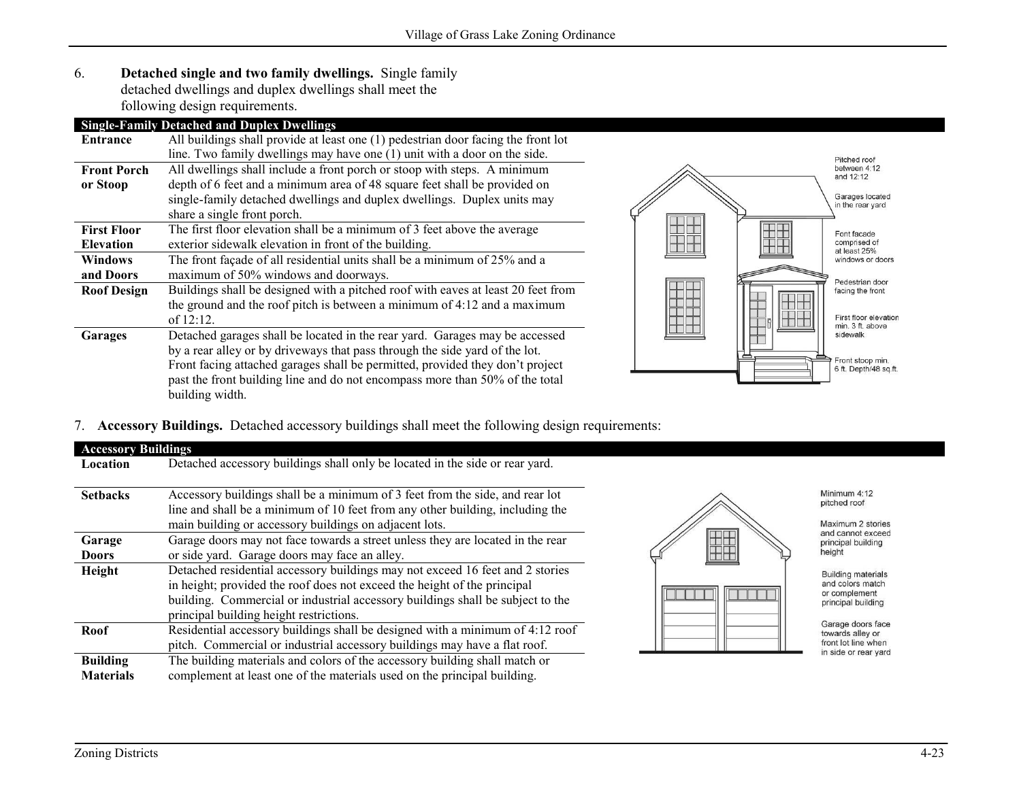6. **Detached single and two family dwellings.** Single family detached dwellings and duplex dwellings shall meet the following design requirements.

# **Single-Family Detached and Duplex Dwellings**

| Entrance           | All buildings shall provide at least one (1) pedestrian door facing the front lot |                                           |
|--------------------|-----------------------------------------------------------------------------------|-------------------------------------------|
|                    | line. Two family dwellings may have one (1) unit with a door on the side.         | Pitched roof                              |
| <b>Front Porch</b> | All dwellings shall include a front porch or stoop with steps. A minimum          | between 4:12<br>and 12:12                 |
| or Stoop           | depth of 6 feet and a minimum area of 48 square feet shall be provided on         |                                           |
|                    | single-family detached dwellings and duplex dwellings. Duplex units may           | Garages located<br>in the rear yard       |
|                    | share a single front porch.                                                       |                                           |
| <b>First Floor</b> | The first floor elevation shall be a minimum of 3 feet above the average          | Font facade                               |
| <b>Elevation</b>   | exterior sidewalk elevation in front of the building.                             | comprised of<br>at least 25%              |
| <b>Windows</b>     | The front façade of all residential units shall be a minimum of $25\%$ and a      | windows or doors                          |
| and Doors          | maximum of 50% windows and doorways.                                              | Pedestrian door                           |
| <b>Roof Design</b> | Buildings shall be designed with a pitched roof with eaves at least 20 feet from  | facing the front                          |
|                    | the ground and the roof pitch is between a minimum of 4:12 and a maximum          |                                           |
|                    | of $12:12$ .                                                                      | First floor elevation<br>min. 3 ft. above |
| Garages            | Detached garages shall be located in the rear yard. Garages may be accessed       | sidewalk                                  |
|                    | by a rear alley or by driveways that pass through the side yard of the lot.       |                                           |
|                    | Front facing attached garages shall be permitted, provided they don't project     | Front stoop min.<br>6 ft. Depth/48 sq.ft. |
|                    | past the front building line and do not encompass more than 50% of the total      |                                           |
|                    | building width.                                                                   |                                           |

### 7. **Accessory Buildings.** Detached accessory buildings shall meet the following design requirements:

| <b>Accessory Buildings</b>          |                                                                                                                                                                                                                                                                                        |                                                                                      |
|-------------------------------------|----------------------------------------------------------------------------------------------------------------------------------------------------------------------------------------------------------------------------------------------------------------------------------------|--------------------------------------------------------------------------------------|
| Location                            | Detached accessory buildings shall only be located in the side or rear yard.                                                                                                                                                                                                           |                                                                                      |
| <b>Setbacks</b>                     | Accessory buildings shall be a minimum of 3 feet from the side, and rear lot<br>line and shall be a minimum of 10 feet from any other building, including the<br>main building or accessory buildings on adjacent lots.                                                                | Minimum 4:12<br>pitched roof<br>Maximum 2 stories<br>and cannot exceed               |
| Garage                              | Garage doors may not face towards a street unless they are located in the rear                                                                                                                                                                                                         | principal building                                                                   |
| <b>Doors</b>                        | or side yard. Garage doors may face an alley.                                                                                                                                                                                                                                          | height                                                                               |
| Height                              | Detached residential accessory buildings may not exceed 16 feet and 2 stories<br>in height; provided the roof does not exceed the height of the principal<br>building. Commercial or industrial accessory buildings shall be subject to the<br>principal building height restrictions. | <b>Building materials</b><br>and colors match<br>or complement<br>principal building |
| Roof                                | Residential accessory buildings shall be designed with a minimum of 4:12 roof<br>pitch. Commercial or industrial accessory buildings may have a flat roof.                                                                                                                             | Garage doors face<br>towards alley or<br>front lot line when<br>in side or rear yard |
| <b>Building</b><br><b>Materials</b> | The building materials and colors of the accessory building shall match or<br>complement at least one of the materials used on the principal building.                                                                                                                                 |                                                                                      |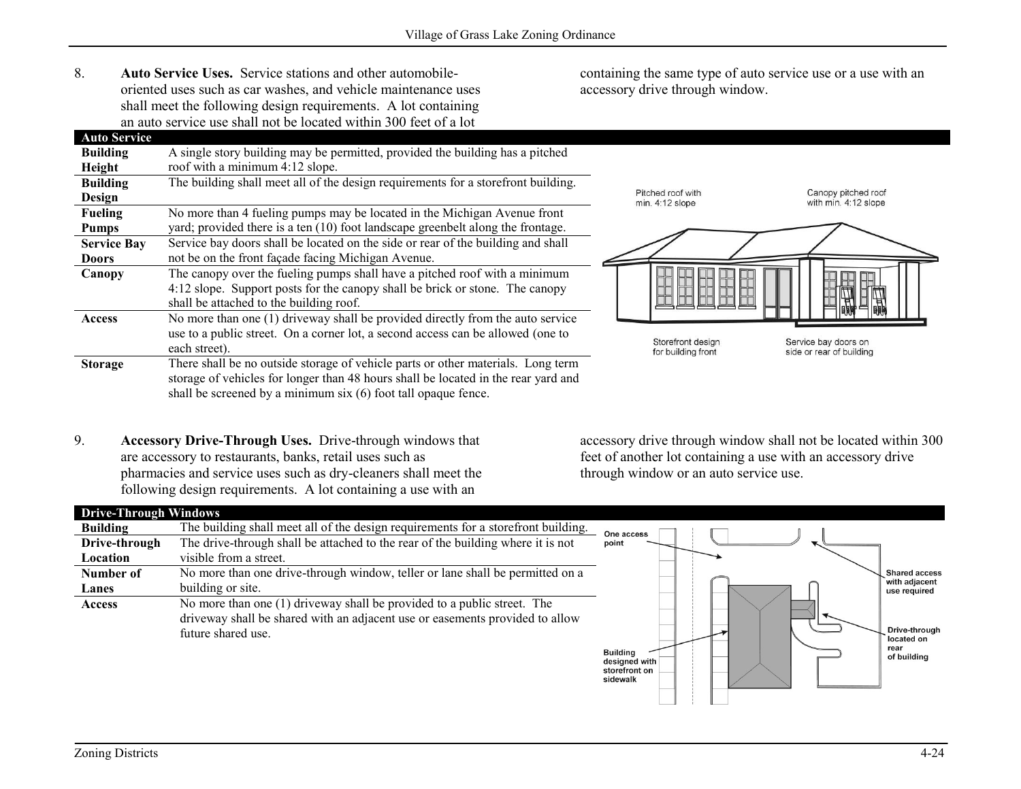8. **Auto Service Uses.** Service stations and other automobileoriented uses such as car washes, and vehicle maintenance uses shall meet the following design requirements. A lot containing an auto service use shall not be located within 300 feet of a lot

containing the same type of auto service use or a use with an accessory drive through window.

| <b>Auto Service</b> |                                                                                    |                                      |                                             |
|---------------------|------------------------------------------------------------------------------------|--------------------------------------|---------------------------------------------|
| <b>Building</b>     | A single story building may be permitted, provided the building has a pitched      |                                      |                                             |
| Height              | roof with a minimum 4:12 slope.                                                    |                                      |                                             |
| <b>Building</b>     | The building shall meet all of the design requirements for a storefront building.  |                                      |                                             |
| Design              |                                                                                    | Pitched roof with<br>min. 4:12 slope | Canopy pitched roof<br>with min. 4:12 slope |
| <b>Fueling</b>      | No more than 4 fueling pumps may be located in the Michigan Avenue front           |                                      |                                             |
| <b>Pumps</b>        | yard; provided there is a ten (10) foot landscape greenbelt along the frontage.    |                                      |                                             |
| <b>Service Bay</b>  | Service bay doors shall be located on the side or rear of the building and shall   |                                      |                                             |
| Doors               | not be on the front façade facing Michigan Avenue.                                 |                                      |                                             |
| Canopy              | The canopy over the fueling pumps shall have a pitched roof with a minimum         |                                      |                                             |
|                     | 4:12 slope. Support posts for the canopy shall be brick or stone. The canopy       |                                      |                                             |
|                     | shall be attached to the building roof.                                            |                                      | =<br>国国国                                    |
| Access              | No more than one (1) driveway shall be provided directly from the auto service     |                                      |                                             |
|                     | use to a public street. On a corner lot, a second access can be allowed (one to    | Storefront design                    | Service bay doors on                        |
|                     | each street).                                                                      | for building front                   | side or rear of building                    |
| <b>Storage</b>      | There shall be no outside storage of vehicle parts or other materials. Long term   |                                      |                                             |
|                     | storage of vehicles for longer than 48 hours shall be located in the rear yard and |                                      |                                             |
|                     | shall be screened by a minimum six (6) foot tall opaque fence.                     |                                      |                                             |

9. **Accessory Drive-Through Uses.** Drive-through windows that are accessory to restaurants, banks, retail uses such as pharmacies and service uses such as dry-cleaners shall meet the following design requirements. A lot containing a use with an

accessory drive through window shall not be located within 300 feet of another lot containing a use with an accessory drive through window or an auto service use.

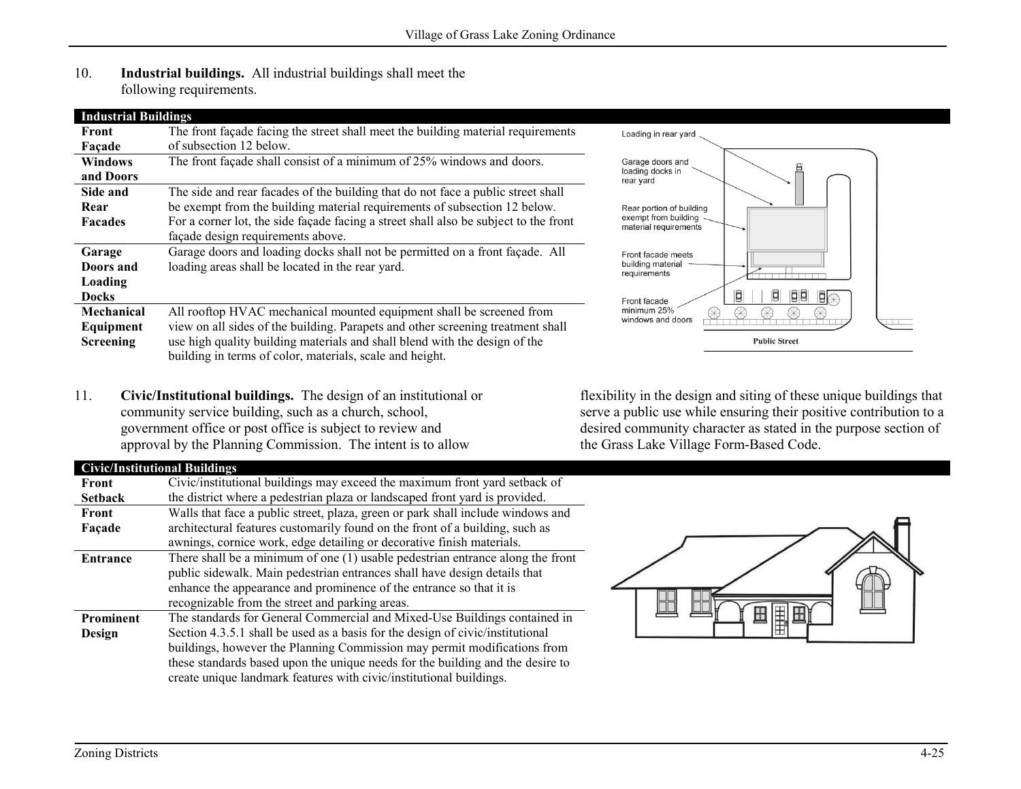10. **Industrial buildings.** All industrial buildings shall meet the following requirements.

| <b>Industrial Buildings</b>   |                                                                                                                                                                                                                           |                                 |
|-------------------------------|---------------------------------------------------------------------------------------------------------------------------------------------------------------------------------------------------------------------------|---------------------------------|
| Front                         | The front façade facing the street shall meet the building material requirements                                                                                                                                          | Loading in rea                  |
| Façade                        | of subsection 12 below.                                                                                                                                                                                                   |                                 |
| <b>Windows</b>                | The front façade shall consist of a minimum of 25% windows and doors.                                                                                                                                                     | Garage doors                    |
| and Doors                     |                                                                                                                                                                                                                           | loading docks<br>rear yard      |
| Side and                      | The side and rear facades of the building that do not face a public street shall                                                                                                                                          |                                 |
| Rear                          | be exempt from the building material requirements of subsection 12 below.                                                                                                                                                 | Rear portion o                  |
| <b>Facades</b>                | For a corner lot, the side façade facing a street shall also be subject to the front                                                                                                                                      | exempt from I<br>material requi |
|                               | façade design requirements above.                                                                                                                                                                                         |                                 |
| Garage                        | Garage doors and loading docks shall not be permitted on a front façade. All                                                                                                                                              | Front facade i                  |
| Doors and                     | loading areas shall be located in the rear yard.                                                                                                                                                                          | building mater<br>requirements  |
| Loading                       |                                                                                                                                                                                                                           |                                 |
| <b>Docks</b>                  |                                                                                                                                                                                                                           | Front facade                    |
| Mechanical                    | All rooftop HVAC mechanical mounted equipment shall be screened from                                                                                                                                                      | minimum 25%<br>windows and      |
| Equipment<br><b>Screening</b> | view on all sides of the building. Parapets and other screening treatment shall<br>use high quality building materials and shall blend with the design of the<br>building in terms of color, materials, scale and height. |                                 |
|                               |                                                                                                                                                                                                                           |                                 |

11. **Civic/Institutional buildings.** The design of an institutional or community service building, such as a church, school, government office or post office is subject to review and approval by the Planning Commission. The intent is to allow

#### **Civic/Institutional Buildings**

| Front            | Civic/institutional buildings may exceed the maximum front yard setback of       |  |  |
|------------------|----------------------------------------------------------------------------------|--|--|
| <b>Setback</b>   | the district where a pedestrian plaza or landscaped front yard is provided.      |  |  |
| Front            | Walls that face a public street, plaza, green or park shall include windows and  |  |  |
| Façade           | architectural features customarily found on the front of a building, such as     |  |  |
|                  | awnings, cornice work, edge detailing or decorative finish materials.            |  |  |
| <b>Entrance</b>  | There shall be a minimum of one $(1)$ usable pedestrian entrance along the front |  |  |
|                  | public sidewalk. Main pedestrian entrances shall have design details that        |  |  |
|                  | enhance the appearance and prominence of the entrance so that it is              |  |  |
|                  | recognizable from the street and parking areas.                                  |  |  |
| <b>Prominent</b> | The standards for General Commercial and Mixed-Use Buildings contained in        |  |  |
| Design           | Section 4.3.5.1 shall be used as a basis for the design of civic/institutional   |  |  |
|                  | buildings, however the Planning Commission may permit modifications from         |  |  |
|                  | these standards based upon the unique needs for the building and the desire to   |  |  |
|                  | create unique landmark features with civic/institutional buildings.              |  |  |



flexibility in the design and siting of these unique buildings that serve a public use while ensuring their positive contribution to a desired community character as stated in the purpose section of the Grass Lake Village Form-Based Code.